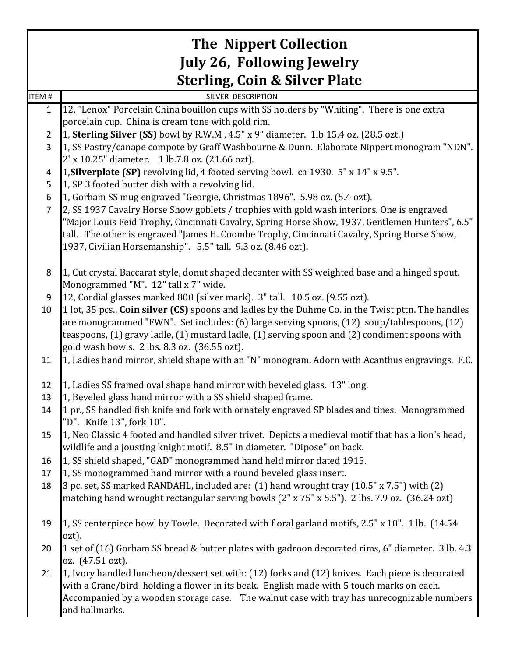|                | <b>The Nippert Collection</b>                                                                                                          |
|----------------|----------------------------------------------------------------------------------------------------------------------------------------|
|                | <b>July 26, Following Jewelry</b>                                                                                                      |
|                | <b>Sterling, Coin &amp; Silver Plate</b>                                                                                               |
| ITEM #         | SILVER DESCRIPTION                                                                                                                     |
| $\mathbf{1}$   | 12, "Lenox" Porcelain China bouillon cups with SS holders by "Whiting". There is one extra                                             |
|                | porcelain cup. China is cream tone with gold rim.                                                                                      |
| $\overline{2}$ | 1, Sterling Silver (SS) bowl by R.W.M, 4.5" x 9" diameter. 1lb 15.4 oz. (28.5 ozt.)                                                    |
| 3              | 1, SS Pastry/canape compote by Graff Washbourne & Dunn. Elaborate Nippert monogram "NDN".                                              |
|                | 2' x 10.25" diameter. 1 lb.7.8 oz. (21.66 ozt).<br>1, Silverplate (SP) revolving lid, 4 footed serving bowl. ca 1930. 5" x 14" x 9.5". |
| 4<br>5         | 1, SP 3 footed butter dish with a revolving lid.                                                                                       |
| 6              | 1, Gorham SS mug engraved "Georgie, Christmas 1896". 5.98 oz. (5.4 ozt).                                                               |
| $\overline{7}$ | 2, SS 1937 Cavalry Horse Show goblets / trophies with gold wash interiors. One is engraved                                             |
|                | "Major Louis Feid Trophy, Cincinnati Cavalry, Spring Horse Show, 1937, Gentlemen Hunters", 6.5"                                        |
|                | tall. The other is engraved "James H. Coombe Trophy, Cincinnati Cavalry, Spring Horse Show,                                            |
|                | 1937, Civilian Horsemanship". 5.5" tall. 9.3 oz. (8.46 ozt).                                                                           |
|                |                                                                                                                                        |
| 8              | 1, Cut crystal Baccarat style, donut shaped decanter with SS weighted base and a hinged spout.                                         |
|                | Monogrammed "M". 12" tall x 7" wide.                                                                                                   |
| 9              | 12, Cordial glasses marked 800 (silver mark). 3" tall. 10.5 oz. (9.55 ozt).                                                            |
| 10             | 1 lot, 35 pcs., Coin silver (CS) spoons and ladles by the Duhme Co. in the Twist pttn. The handles                                     |
|                | are monogrammed "FWN". Set includes: (6) large serving spoons, (12) soup/tablespoons, (12)                                             |
|                | teaspoons, (1) gravy ladle, (1) mustard ladle, (1) serving spoon and (2) condiment spoons with                                         |
|                | gold wash bowls. 2 lbs. 8.3 oz. (36.55 ozt).                                                                                           |
| 11             | 1, Ladies hand mirror, shield shape with an "N" monogram. Adorn with Acanthus engravings. F.C.                                         |
| 12             | 1, Ladies SS framed oval shape hand mirror with beveled glass. 13" long.                                                               |
| 13             | 1, Beveled glass hand mirror with a SS shield shaped frame.                                                                            |
| 14             | 1 pr., SS handled fish knife and fork with ornately engraved SP blades and tines. Monogrammed<br>"D". Knife 13", fork 10".             |
| 15             | 1, Neo Classic 4 footed and handled silver trivet. Depicts a medieval motif that has a lion's head,                                    |
|                | wildlife and a jousting knight motif. 8.5" in diameter. "Dipose" on back.                                                              |
| 16             | 1, SS shield shaped, "GAD" monogrammed hand held mirror dated 1915.                                                                    |
| 17             | 1, SS monogrammed hand mirror with a round beveled glass insert.                                                                       |
| 18             | 3 pc. set, SS marked RANDAHL, included are: (1) hand wrought tray (10.5" x 7.5") with (2)                                              |
|                | matching hand wrought rectangular serving bowls (2" x 75" x 5.5"). 2 lbs. 7.9 oz. (36.24 ozt)                                          |
|                |                                                                                                                                        |
| 19             | 1, SS centerpiece bowl by Towle. Decorated with floral garland motifs, 2.5" x 10". 1 lb. (14.54)<br>ozt).                              |
| 20             | 1 set of (16) Gorham SS bread & butter plates with gadroon decorated rims, 6" diameter. 3 lb. 4.3                                      |
|                | oz. (47.51 ozt).                                                                                                                       |
| 21             | 1, Ivory handled luncheon/dessert set with: (12) forks and (12) knives. Each piece is decorated                                        |
|                | with a Crane/bird holding a flower in its beak. English made with 5 touch marks on each.                                               |
|                | Accompanied by a wooden storage case. The walnut case with tray has unrecognizable numbers                                             |
|                | and hallmarks.                                                                                                                         |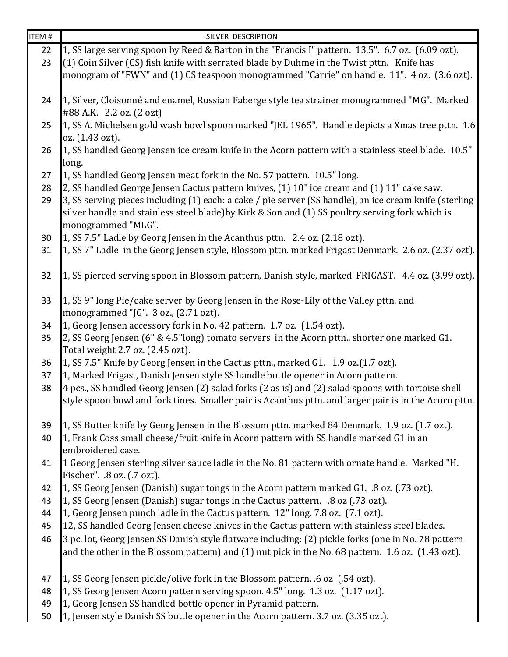| ITEM <sub>#</sub> | SILVER DESCRIPTION                                                                                                                                                                                                              |
|-------------------|---------------------------------------------------------------------------------------------------------------------------------------------------------------------------------------------------------------------------------|
| 22                | 1, SS large serving spoon by Reed & Barton in the "Francis I" pattern. 13.5". 6.7 oz. (6.09 ozt).                                                                                                                               |
| 23                | (1) Coin Silver (CS) fish knife with serrated blade by Duhme in the Twist pttn. Knife has                                                                                                                                       |
|                   | monogram of "FWN" and (1) CS teaspoon monogrammed "Carrie" on handle. 11". 4 oz. (3.6 ozt).                                                                                                                                     |
| 24                | 1, Silver, Cloisonné and enamel, Russian Faberge style tea strainer monogrammed "MG". Marked<br>#88 A.K. 2.2 oz. (2 ozt)                                                                                                        |
| 25                | 1, SS A. Michelsen gold wash bowl spoon marked "JEL 1965". Handle depicts a Xmas tree pttn. 1.6<br>oz. (1.43 ozt).                                                                                                              |
| 26                | 1, SS handled Georg Jensen ice cream knife in the Acorn pattern with a stainless steel blade. 10.5"<br>long.                                                                                                                    |
| 27                | 1, SS handled Georg Jensen meat fork in the No. 57 pattern. 10.5" long.                                                                                                                                                         |
| 28                | 2, SS handled George Jensen Cactus pattern knives, (1) 10" ice cream and (1) 11" cake saw.                                                                                                                                      |
| 29                | 3, SS serving pieces including (1) each: a cake / pie server (SS handle), an ice cream knife (sterling<br>silver handle and stainless steel blade) by Kirk & Son and (1) SS poultry serving fork which is<br>monogrammed "MLG". |
| 30                | 1, SS 7.5" Ladle by Georg Jensen in the Acanthus pttn. 2.4 oz. (2.18 ozt).                                                                                                                                                      |
| 31                | 1, SS 7" Ladle in the Georg Jensen style, Blossom pttn. marked Frigast Denmark. 2.6 oz. (2.37 ozt).                                                                                                                             |
| 32                | 1, SS pierced serving spoon in Blossom pattern, Danish style, marked FRIGAST. 4.4 oz. (3.99 ozt).                                                                                                                               |
| 33                | 1, SS 9" long Pie/cake server by Georg Jensen in the Rose-Lily of the Valley pttn. and<br>monogrammed "JG". 3 oz., (2.71 ozt).                                                                                                  |
| 34                | 1, Georg Jensen accessory fork in No. 42 pattern. 1.7 oz. (1.54 ozt).                                                                                                                                                           |
| 35                | 2, SS Georg Jensen (6" & 4.5"long) tomato servers in the Acorn pttn., shorter one marked G1.<br>Total weight 2.7 oz. (2.45 ozt).                                                                                                |
| 36                | 1, SS 7.5" Knife by Georg Jensen in the Cactus pttn., marked G1. 1.9 oz.(1.7 ozt).                                                                                                                                              |
| 37                | 1, Marked Frigast, Danish Jensen style SS handle bottle opener in Acorn pattern.                                                                                                                                                |
| 38                | 4 pcs., SS handled Georg Jensen (2) salad forks (2 as is) and (2) salad spoons with tortoise shell<br>style spoon bowl and fork tines. Smaller pair is Acanthus pttn. and larger pair is in the Acorn pttn.                     |
| 39                | 1, SS Butter knife by Georg Jensen in the Blossom pttn. marked 84 Denmark. 1.9 oz. (1.7 ozt).                                                                                                                                   |
| 40                | 1, Frank Coss small cheese/fruit knife in Acorn pattern with SS handle marked G1 in an<br>embroidered case.                                                                                                                     |
| 41                | 1 Georg Jensen sterling silver sauce ladle in the No. 81 pattern with ornate handle. Marked "H.<br>Fischer". .8 oz. (.7 ozt).                                                                                                   |
| 42                | 1, SS Georg Jensen (Danish) sugar tongs in the Acorn pattern marked G1. .8 oz. (.73 ozt).                                                                                                                                       |
| 43                | 1, SS Georg Jensen (Danish) sugar tongs in the Cactus pattern. .8 oz (.73 ozt).                                                                                                                                                 |
| 44                | 1, Georg Jensen punch ladle in the Cactus pattern. 12" long. 7.8 oz. (7.1 ozt).                                                                                                                                                 |
| 45                | 12, SS handled Georg Jensen cheese knives in the Cactus pattern with stainless steel blades.                                                                                                                                    |
| 46                | 3 pc. lot, Georg Jensen SS Danish style flatware including: (2) pickle forks (one in No. 78 pattern<br>and the other in the Blossom pattern) and (1) nut pick in the No. 68 pattern. 1.6 oz. (1.43 ozt).                        |
| 47                | 1, SS Georg Jensen pickle/olive fork in the Blossom pattern. .6 oz (.54 ozt).                                                                                                                                                   |
| 48                | 1, SS Georg Jensen Acorn pattern serving spoon. 4.5" long. 1.3 oz. (1.17 ozt).                                                                                                                                                  |
| 49                | 1, Georg Jensen SS handled bottle opener in Pyramid pattern.                                                                                                                                                                    |
| 50                | 1, Jensen style Danish SS bottle opener in the Acorn pattern. 3.7 oz. (3.35 ozt).                                                                                                                                               |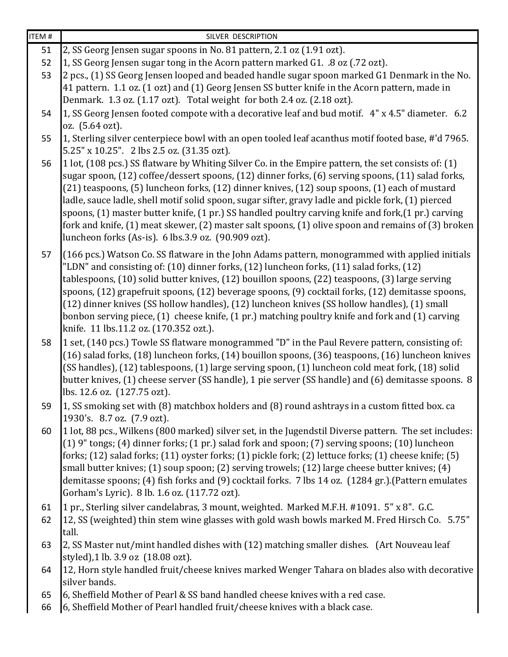| $\overline{\text{IFM}}$ # | SILVER DESCRIPTION                                                                                                                                                                                                                                                                                                                                                                                                                                                                                                                                                                                                                                                                   |
|---------------------------|--------------------------------------------------------------------------------------------------------------------------------------------------------------------------------------------------------------------------------------------------------------------------------------------------------------------------------------------------------------------------------------------------------------------------------------------------------------------------------------------------------------------------------------------------------------------------------------------------------------------------------------------------------------------------------------|
| 51                        | 2, SS Georg Jensen sugar spoons in No. 81 pattern, 2.1 oz (1.91 ozt).                                                                                                                                                                                                                                                                                                                                                                                                                                                                                                                                                                                                                |
| 52                        | 1, SS Georg Jensen sugar tong in the Acorn pattern marked G1. .8 oz (.72 ozt).                                                                                                                                                                                                                                                                                                                                                                                                                                                                                                                                                                                                       |
| 53                        | 2 pcs., (1) SS Georg Jensen looped and beaded handle sugar spoon marked G1 Denmark in the No.                                                                                                                                                                                                                                                                                                                                                                                                                                                                                                                                                                                        |
|                           | 41 pattern. 1.1 oz. (1 ozt) and (1) Georg Jensen SS butter knife in the Acorn pattern, made in                                                                                                                                                                                                                                                                                                                                                                                                                                                                                                                                                                                       |
|                           | Denmark. 1.3 oz. (1.17 ozt). Total weight for both 2.4 oz. (2.18 ozt).                                                                                                                                                                                                                                                                                                                                                                                                                                                                                                                                                                                                               |
| 54                        | 1, SS Georg Jensen footed compote with a decorative leaf and bud motif. 4" x 4.5" diameter. 6.2                                                                                                                                                                                                                                                                                                                                                                                                                                                                                                                                                                                      |
|                           | oz. (5.64 ozt).                                                                                                                                                                                                                                                                                                                                                                                                                                                                                                                                                                                                                                                                      |
| 55                        | 1, Sterling silver centerpiece bowl with an open tooled leaf acanthus motif footed base, #'d 7965.<br>5.25" x 10.25". 2 lbs 2.5 oz. (31.35 ozt).                                                                                                                                                                                                                                                                                                                                                                                                                                                                                                                                     |
| 56                        | 1 lot, (108 pcs.) SS flatware by Whiting Silver Co. in the Empire pattern, the set consists of: (1)<br>sugar spoon, (12) coffee/dessert spoons, (12) dinner forks, (6) serving spoons, (11) salad forks,<br>(21) teaspoons, (5) luncheon forks, (12) dinner knives, (12) soup spoons, (1) each of mustard<br>ladle, sauce ladle, shell motif solid spoon, sugar sifter, gravy ladle and pickle fork, (1) pierced<br>spoons, (1) master butter knife, (1 pr.) SS handled poultry carving knife and fork, (1 pr.) carving<br>fork and knife, (1) meat skewer, (2) master salt spoons, (1) olive spoon and remains of (3) broken<br>luncheon forks (As-is). 6 lbs.3.9 oz. (90.909 ozt). |
| 57                        | (166 pcs.) Watson Co. SS flatware in the John Adams pattern, monogrammed with applied initials<br>"LDN" and consisting of: (10) dinner forks, (12) luncheon forks, (11) salad forks, (12)<br>tablespoons, (10) solid butter knives, (12) bouillon spoons, (22) teaspoons, (3) large serving<br>spoons, (12) grapefruit spoons, (12) beverage spoons, (9) cocktail forks, (12) demitasse spoons,<br>(12) dinner knives (SS hollow handles), (12) luncheon knives (SS hollow handles), (1) small<br>bonbon serving piece, (1) cheese knife, (1 pr.) matching poultry knife and fork and (1) carving<br>knife. 11 lbs.11.2 oz. (170.352 ozt.).                                          |
| 58                        | 1 set, (140 pcs.) Towle SS flatware monogrammed "D" in the Paul Revere pattern, consisting of:<br>(16) salad forks, (18) luncheon forks, (14) bouillon spoons, (36) teaspoons, (16) luncheon knives<br>(SS handles), (12) tablespoons, (1) large serving spoon, (1) luncheon cold meat fork, (18) solid<br>butter knives, (1) cheese server (SS handle), 1 pie server (SS handle) and (6) demitasse spoons. 8<br>lbs. 12.6 oz. (127.75 ozt).                                                                                                                                                                                                                                         |
| 59                        | 1, SS smoking set with (8) matchbox holders and (8) round ashtrays in a custom fitted box. ca<br>1930's. 8.7 oz. (7.9 ozt).                                                                                                                                                                                                                                                                                                                                                                                                                                                                                                                                                          |
| 60                        | 1 lot, 88 pcs., Wilkens (800 marked) silver set, in the Jugendstil Diverse pattern. The set includes:<br>(1) 9" tongs; (4) dinner forks; (1 pr.) salad fork and spoon; (7) serving spoons; (10) luncheon<br>forks; (12) salad forks; (11) oyster forks; (1) pickle fork; (2) lettuce forks; (1) cheese knife; (5)<br>small butter knives; (1) soup spoon; (2) serving trowels; (12) large cheese butter knives; (4)<br>demitasse spoons; (4) fish forks and (9) cocktail forks. 7 lbs 14 oz. (1284 gr.). (Pattern emulates<br>Gorham's Lyric). 8 lb. 1.6 oz. (117.72 ozt).                                                                                                           |
| 61<br>62                  | 1 pr., Sterling silver candelabras, 3 mount, weighted. Marked M.F.H. #1091. 5" x 8". G.C.<br>12, SS (weighted) thin stem wine glasses with gold wash bowls marked M. Fred Hirsch Co. 5.75"                                                                                                                                                                                                                                                                                                                                                                                                                                                                                           |
| 63                        | tall.<br>2, SS Master nut/mint handled dishes with (12) matching smaller dishes. (Art Nouveau leaf<br>styled),1 lb. 3.9 oz (18.08 ozt).                                                                                                                                                                                                                                                                                                                                                                                                                                                                                                                                              |
| 64                        | 12, Horn style handled fruit/cheese knives marked Wenger Tahara on blades also with decorative<br>silver bands.                                                                                                                                                                                                                                                                                                                                                                                                                                                                                                                                                                      |
| 65                        | 6, Sheffield Mother of Pearl & SS band handled cheese knives with a red case.                                                                                                                                                                                                                                                                                                                                                                                                                                                                                                                                                                                                        |
| 66                        | 6, Sheffield Mother of Pearl handled fruit/cheese knives with a black case.                                                                                                                                                                                                                                                                                                                                                                                                                                                                                                                                                                                                          |
|                           |                                                                                                                                                                                                                                                                                                                                                                                                                                                                                                                                                                                                                                                                                      |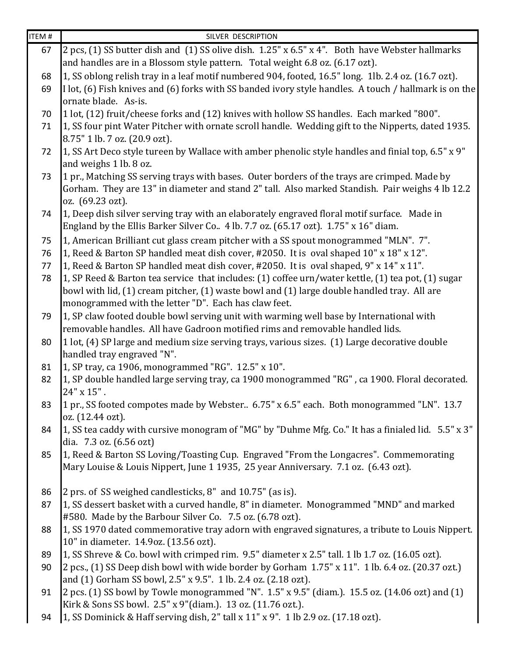| ITEM # | SILVER DESCRIPTION                                                                                                                               |
|--------|--------------------------------------------------------------------------------------------------------------------------------------------------|
| 67     | 2 pcs, (1) SS butter dish and (1) SS olive dish. 1.25" x 6.5" x 4". Both have Webster hallmarks                                                  |
|        | and handles are in a Blossom style pattern. Total weight 6.8 oz. (6.17 ozt).                                                                     |
| 68     | 1, SS oblong relish tray in a leaf motif numbered 904, footed, 16.5" long. 1lb. 2.4 oz. (16.7 ozt).                                              |
| 69     | I lot, (6) Fish knives and (6) forks with SS banded ivory style handles. A touch / hallmark is on the                                            |
|        | ornate blade. As-is.                                                                                                                             |
| 70     | 1 lot, (12) fruit/cheese forks and (12) knives with hollow SS handles. Each marked "800".                                                        |
| 71     | 1, SS four pint Water Pitcher with ornate scroll handle. Wedding gift to the Nipperts, dated 1935.                                               |
|        | 8.75" 1 lb. 7 oz. (20.9 ozt).                                                                                                                    |
| 72     | 1, SS Art Deco style tureen by Wallace with amber phenolic style handles and finial top, 6.5" x 9"                                               |
|        | and weighs 1 lb. 8 oz.                                                                                                                           |
| 73     | 1 pr., Matching SS serving trays with bases. Outer borders of the trays are crimped. Made by                                                     |
|        | Gorham. They are 13" in diameter and stand 2" tall. Also marked Standish. Pair weighs 4 lb 12.2                                                  |
|        | oz. (69.23 ozt).                                                                                                                                 |
| 74     | 1, Deep dish silver serving tray with an elaborately engraved floral motif surface. Made in                                                      |
|        | England by the Ellis Barker Silver Co 4 lb. 7.7 oz. (65.17 ozt). 1.75" x 16" diam.                                                               |
| 75     | 1, American Brilliant cut glass cream pitcher with a SS spout monogrammed "MLN". 7".                                                             |
| 76     | 1, Reed & Barton SP handled meat dish cover, #2050. It is oval shaped 10" x 18" x 12".                                                           |
| 77     | 1, Reed & Barton SP handled meat dish cover, #2050. It is oval shaped, 9" x 14" x 11".                                                           |
| 78     | 1, SP Reed & Barton tea service that includes: (1) coffee urn/water kettle, (1) tea pot, (1) sugar                                               |
|        | bowl with lid, (1) cream pitcher, (1) waste bowl and (1) large double handled tray. All are                                                      |
|        | monogrammed with the letter "D". Each has claw feet.                                                                                             |
| 79     | 1, SP claw footed double bowl serving unit with warming well base by International with                                                          |
|        | removable handles. All have Gadroon motified rims and removable handled lids.                                                                    |
| 80     | 1 lot, (4) SP large and medium size serving trays, various sizes. (1) Large decorative double<br>handled tray engraved "N".                      |
| 81     | 1, SP tray, ca 1906, monogrammed "RG". 12.5" x 10".                                                                                              |
| 82     | 1, SP double handled large serving tray, ca 1900 monogrammed "RG", ca 1900. Floral decorated.                                                    |
|        | $24" \times 15"$ .                                                                                                                               |
| 83     | 1 pr., SS footed compotes made by Webster 6.75" x 6.5" each. Both monogrammed "LN". 13.7                                                         |
|        | oz. (12.44 ozt).                                                                                                                                 |
| 84     | 1, SS tea caddy with cursive monogram of "MG" by "Duhme Mfg. Co." It has a finialed lid. 5.5" x 3"                                               |
|        | dia. 7.3 oz. (6.56 ozt)                                                                                                                          |
| 85     | 1, Reed & Barton SS Loving/Toasting Cup. Engraved "From the Longacres". Commemorating                                                            |
|        | Mary Louise & Louis Nippert, June 1 1935, 25 year Anniversary. 7.1 oz. (6.43 ozt).                                                               |
|        |                                                                                                                                                  |
| 86     | 2 prs. of SS weighed candlesticks, 8" and 10.75" (as is).                                                                                        |
| 87     | 1, SS dessert basket with a curved handle, 8" in diameter. Monogrammed "MND" and marked                                                          |
|        | #580. Made by the Barbour Silver Co. 7.5 oz. (6.78 ozt).                                                                                         |
| 88     | 1, SS 1970 dated commemorative tray adorn with engraved signatures, a tribute to Louis Nippert.                                                  |
|        | 10" in diameter. 14.9oz. (13.56 ozt).                                                                                                            |
| 89     | 1, SS Shreve & Co. bowl with crimped rim. 9.5" diameter x 2.5" tall. 1 lb 1.7 oz. (16.05 ozt).                                                   |
| 90     | 2 pcs., (1) SS Deep dish bowl with wide border by Gorham 1.75" x 11". 1 lb. 6.4 oz. (20.37 ozt.)                                                 |
|        | and (1) Gorham SS bowl, 2.5" x 9.5". 1 lb. 2.4 oz. (2.18 ozt).                                                                                   |
| 91     | 2 pcs. (1) SS bowl by Towle monogrammed "N". $1.5$ " x $9.5$ " (diam.). 15.5 oz. (14.06 ozt) and (1)                                             |
| 94     | Kirk & Sons SS bowl. 2.5" x 9"(diam.). 13 oz. (11.76 ozt.).<br>1, SS Dominick & Haff serving dish, 2" tall x 11" x 9". 1 lb 2.9 oz. (17.18 ozt). |
|        |                                                                                                                                                  |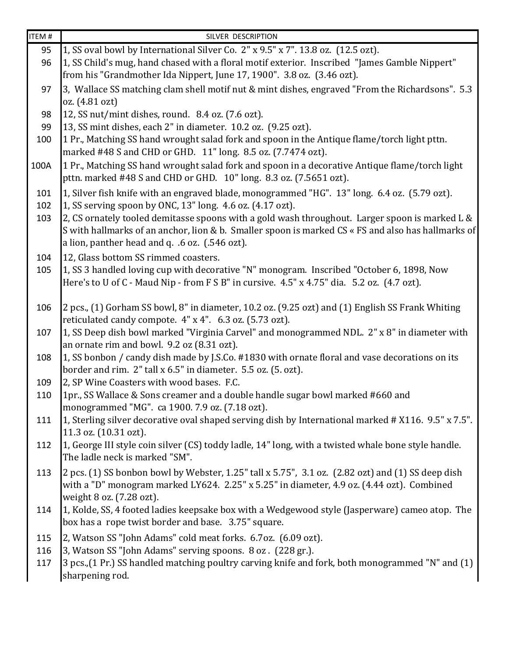| ITEM # | SILVER DESCRIPTION                                                                                                                                                                                                                                     |
|--------|--------------------------------------------------------------------------------------------------------------------------------------------------------------------------------------------------------------------------------------------------------|
| 95     | 1, SS oval bowl by International Silver Co. 2" x 9.5" x 7". 13.8 oz. (12.5 ozt).                                                                                                                                                                       |
| 96     | 1, SS Child's mug, hand chased with a floral motif exterior. Inscribed "James Gamble Nippert"                                                                                                                                                          |
|        | from his "Grandmother Ida Nippert, June 17, 1900". 3.8 oz. (3.46 ozt).                                                                                                                                                                                 |
| 97     | 3, Wallace SS matching clam shell motif nut & mint dishes, engraved "From the Richardsons". 5.3                                                                                                                                                        |
|        | oz. (4.81 ozt)                                                                                                                                                                                                                                         |
| 98     | 12, SS nut/mint dishes, round. 8.4 oz. (7.6 ozt).                                                                                                                                                                                                      |
| 99     | 13, SS mint dishes, each 2" in diameter. 10.2 oz. (9.25 ozt).                                                                                                                                                                                          |
| 100    | 1 Pr., Matching SS hand wrought salad fork and spoon in the Antique flame/torch light pttn.<br>marked #48 S and CHD or GHD. 11" long. 8.5 oz. (7.7474 ozt).                                                                                            |
| 100A   | 1 Pr., Matching SS hand wrought salad fork and spoon in a decorative Antique flame/torch light<br>pttn. marked #48 S and CHD or GHD. 10" long. 8.3 oz. (7.5651 ozt).                                                                                   |
| 101    | 1, Silver fish knife with an engraved blade, monogrammed "HG". 13" long. 6.4 oz. (5.79 ozt).                                                                                                                                                           |
| 102    | 1, SS serving spoon by ONC, 13" long. 4.6 oz. (4.17 ozt).                                                                                                                                                                                              |
| 103    | 2, CS ornately tooled demitasse spoons with a gold wash throughout. Larger spoon is marked L &<br>S with hallmarks of an anchor, lion & b. Smaller spoon is marked CS « FS and also has hallmarks of<br>a lion, panther head and q. .6 oz. (.546 ozt). |
| 104    | 12, Glass bottom SS rimmed coasters.                                                                                                                                                                                                                   |
| 105    | 1, SS 3 handled loving cup with decorative "N" monogram. Inscribed "October 6, 1898, Now<br>Here's to U of C - Maud Nip - from F S B" in cursive. 4.5" x 4.75" dia. 5.2 oz. (4.7 ozt).                                                                 |
| 106    | 2 pcs., (1) Gorham SS bowl, 8" in diameter, 10.2 oz. (9.25 ozt) and (1) English SS Frank Whiting<br>reticulated candy compote. 4" x 4". 6.3 oz. (5.73 ozt).                                                                                            |
| 107    | 1, SS Deep dish bowl marked "Virginia Carvel" and monogrammed NDL. 2" x 8" in diameter with<br>an ornate rim and bowl. 9.2 oz (8.31 ozt).                                                                                                              |
| 108    | 1, SS bonbon / candy dish made by J.S.Co. #1830 with ornate floral and vase decorations on its<br>border and rim. 2" tall x 6.5" in diameter. 5.5 oz. (5. ozt).                                                                                        |
| 109    | 2, SP Wine Coasters with wood bases. F.C.                                                                                                                                                                                                              |
| 110    | 1pr., SS Wallace & Sons creamer and a double handle sugar bowl marked #660 and<br>monogrammed "MG". ca 1900. 7.9 oz. (7.18 ozt).                                                                                                                       |
| 111    | 1, Sterling silver decorative oval shaped serving dish by International marked # X116. 9.5" x 7.5".<br>11.3 oz. (10.31 ozt).                                                                                                                           |
| 112    | 1, George III style coin silver (CS) toddy ladle, 14" long, with a twisted whale bone style handle.<br>The ladle neck is marked "SM".                                                                                                                  |
| 113    | 2 pcs. (1) SS bonbon bowl by Webster, 1.25" tall x 5.75", 3.1 oz. (2.82 ozt) and (1) SS deep dish<br>with a "D" monogram marked LY624. 2.25" x 5.25" in diameter, 4.9 oz. (4.44 ozt). Combined<br>weight 8 oz. (7.28 ozt).                             |
| 114    | 1, Kolde, SS, 4 footed ladies keepsake box with a Wedgewood style (Jasperware) cameo atop. The<br>box has a rope twist border and base. 3.75" square.                                                                                                  |
| 115    | 2, Watson SS "John Adams" cold meat forks. 6.7oz. (6.09 ozt).                                                                                                                                                                                          |
| 116    | 3, Watson SS "John Adams" serving spoons. 8 oz. (228 gr.).                                                                                                                                                                                             |
| 117    | 3 pcs., (1 Pr.) SS handled matching poultry carving knife and fork, both monogrammed "N" and (1)<br>sharpening rod.                                                                                                                                    |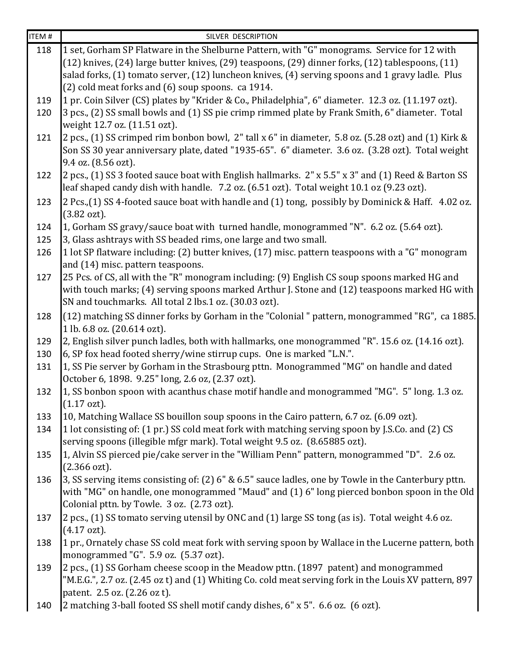| ITEM #     | SILVER DESCRIPTION                                                                                                             |
|------------|--------------------------------------------------------------------------------------------------------------------------------|
| 118        | 1 set, Gorham SP Flatware in the Shelburne Pattern, with "G" monograms. Service for 12 with                                    |
|            | (12) knives, (24) large butter knives, (29) teaspoons, (29) dinner forks, (12) tablespoons, (11)                               |
|            | salad forks, (1) tomato server, (12) luncheon knives, (4) serving spoons and 1 gravy ladle. Plus                               |
|            | (2) cold meat forks and (6) soup spoons. ca 1914.                                                                              |
| 119        | 1 pr. Coin Silver (CS) plates by "Krider & Co., Philadelphia", 6" diameter. 12.3 oz. (11.197 ozt).                             |
| 120        | 3 pcs., (2) SS small bowls and (1) SS pie crimp rimmed plate by Frank Smith, 6" diameter. Total                                |
|            | weight 12.7 oz. (11.51 ozt).                                                                                                   |
| 121        | 2 pcs., (1) SS crimped rim bonbon bowl, 2" tall x 6" in diameter, 5.8 oz. (5.28 ozt) and (1) Kirk &                            |
|            | Son SS 30 year anniversary plate, dated "1935-65". 6" diameter. 3.6 oz. (3.28 ozt). Total weight                               |
|            | 9.4 oz. (8.56 ozt).                                                                                                            |
| 122        | 2 pcs., (1) SS 3 footed sauce boat with English hallmarks. 2" x 5.5" x 3" and (1) Reed & Barton SS                             |
|            | leaf shaped candy dish with handle. 7.2 oz. (6.51 ozt). Total weight 10.1 oz (9.23 ozt).                                       |
| 123        | 2 Pcs., (1) SS 4-footed sauce boat with handle and (1) tong, possibly by Dominick & Haff. 4.02 oz.                             |
|            | $(3.82 \text{ ozt}).$                                                                                                          |
| 124        | 1, Gorham SS gravy/sauce boat with turned handle, monogrammed "N". 6.2 oz. (5.64 ozt).                                         |
| 125        | 3, Glass ashtrays with SS beaded rims, one large and two small.                                                                |
| 126        | 1 lot SP flatware including: (2) butter knives, (17) misc. pattern teaspoons with a "G" monogram                               |
|            | and (14) misc. pattern teaspoons.                                                                                              |
| 127        | 25 Pcs. of CS, all with the "R" monogram including: (9) English CS soup spoons marked HG and                                   |
|            | with touch marks; (4) serving spoons marked Arthur J. Stone and (12) teaspoons marked HG with                                  |
|            | SN and touchmarks. All total 2 lbs.1 oz. (30.03 ozt).                                                                          |
| 128        | (12) matching SS dinner forks by Gorham in the "Colonial" pattern, monogrammed "RG", ca 1885.                                  |
|            | 1 lb. 6.8 oz. (20.614 ozt).<br>2, English silver punch ladles, both with hallmarks, one monogrammed "R". 15.6 oz. (14.16 ozt). |
| 129<br>130 | 6, SP fox head footed sherry/wine stirrup cups. One is marked "L.N.".                                                          |
| 131        | 1, SS Pie server by Gorham in the Strasbourg pttn. Monogrammed "MG" on handle and dated                                        |
|            | October 6, 1898. 9.25" long, 2.6 oz, (2.37 ozt).                                                                               |
| 132        | 1, SS bonbon spoon with acanthus chase motif handle and monogrammed "MG". 5" long. 1.3 oz.                                     |
|            | $(1.17 \text{ ozt}).$                                                                                                          |
| 133        | 10, Matching Wallace SS bouillon soup spoons in the Cairo pattern, 6.7 oz. (6.09 ozt).                                         |
| 134        | 1 lot consisting of: (1 pr.) SS cold meat fork with matching serving spoon by J.S.Co. and (2) CS                               |
|            | serving spoons (illegible mfgr mark). Total weight 9.5 oz. (8.65885 ozt).                                                      |
| 135        | 1, Alvin SS pierced pie/cake server in the "William Penn" pattern, monogrammed "D". 2.6 oz.                                    |
|            | $(2.366 \text{ ozt}).$                                                                                                         |
| 136        | 3, SS serving items consisting of: (2) 6" & 6.5" sauce ladles, one by Towle in the Canterbury pttn.                            |
|            | with "MG" on handle, one monogrammed "Maud" and (1) 6" long pierced bonbon spoon in the Old                                    |
|            | Colonial pttn. by Towle. 3 oz. (2.73 ozt).                                                                                     |
| 137        | $ 2$ pcs., (1) SS tomato serving utensil by ONC and (1) large SS tong (as is). Total weight 4.6 oz.                            |
|            | $(4.17 \text{ ozt}).$                                                                                                          |
| 138        | 1 pr., Ornately chase SS cold meat fork with serving spoon by Wallace in the Lucerne pattern, both                             |
|            | monogrammed "G". 5.9 oz. (5.37 ozt).                                                                                           |
| 139        | $ 2$ pcs., (1) SS Gorham cheese scoop in the Meadow pttn. (1897 patent) and monogrammed                                        |
|            | "M.E.G.", 2.7 oz. (2.45 oz t) and (1) Whiting Co. cold meat serving fork in the Louis XV pattern, 897                          |
|            | patent. 2.5 oz. (2.26 oz t).                                                                                                   |
| 140        | 2 matching 3-ball footed SS shell motif candy dishes, 6" x 5". 6.6 oz. (6 ozt).                                                |
|            |                                                                                                                                |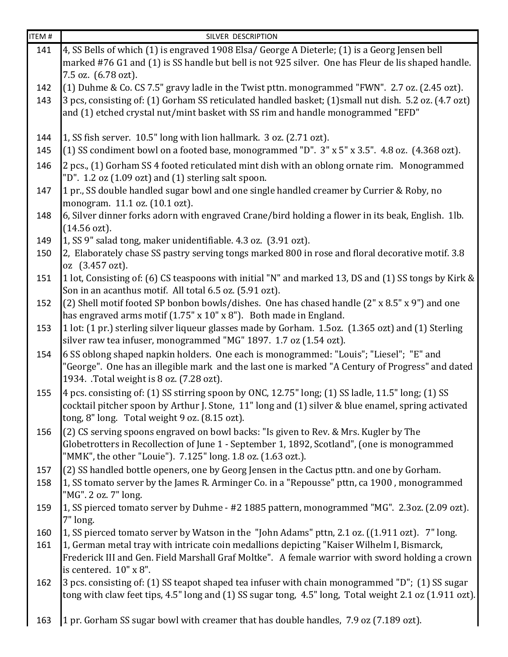| ITEM# | SILVER DESCRIPTION                                                                                                                                                                                        |
|-------|-----------------------------------------------------------------------------------------------------------------------------------------------------------------------------------------------------------|
| 141   | 4, SS Bells of which (1) is engraved 1908 Elsa/ George A Dieterle; (1) is a Georg Jensen bell                                                                                                             |
|       | marked #76 G1 and (1) is SS handle but bell is not 925 silver. One has Fleur de lis shaped handle.                                                                                                        |
|       | 7.5 oz. (6.78 ozt).                                                                                                                                                                                       |
| 142   | (1) Duhme & Co. CS 7.5" gravy ladle in the Twist pttn. monogrammed "FWN". 2.7 oz. (2.45 ozt).                                                                                                             |
| 143   | 3 pcs, consisting of: (1) Gorham SS reticulated handled basket; (1) small nut dish. 5.2 oz. (4.7 ozt)                                                                                                     |
|       | and (1) etched crystal nut/mint basket with SS rim and handle monogrammed "EFD"                                                                                                                           |
| 144   | 1, SS fish server. 10.5" long with lion hallmark. 3 oz. (2.71 ozt).                                                                                                                                       |
| 145   | (1) SS condiment bowl on a footed base, monogrammed "D". 3" x 5" x 3.5". 4.8 oz. (4.368 ozt).                                                                                                             |
|       |                                                                                                                                                                                                           |
| 146   | 2 pcs., (1) Gorham SS 4 footed reticulated mint dish with an oblong ornate rim. Monogrammed<br>"D". 1.2 oz (1.09 ozt) and (1) sterling salt spoon.                                                        |
| 147   | 1 pr., SS double handled sugar bowl and one single handled creamer by Currier & Roby, no                                                                                                                  |
|       | monogram. 11.1 oz. (10.1 ozt).                                                                                                                                                                            |
| 148   | 6, Silver dinner forks adorn with engraved Crane/bird holding a flower in its beak, English. 1lb.                                                                                                         |
|       | $(14.56 \text{ ozt}).$                                                                                                                                                                                    |
| 149   | 1, SS 9" salad tong, maker unidentifiable. 4.3 oz. (3.91 ozt).                                                                                                                                            |
| 150   | 2, Elaborately chase SS pastry serving tongs marked 800 in rose and floral decorative motif. 3.8                                                                                                          |
|       | oz (3.457 ozt).                                                                                                                                                                                           |
| 151   | 1 lot, Consisting of: (6) CS teaspoons with initial "N" and marked 13, DS and (1) SS tongs by Kirk &                                                                                                      |
|       | Son in an acanthus motif. All total 6.5 oz. (5.91 ozt).                                                                                                                                                   |
| 152   | (2) Shell motif footed SP bonbon bowls/dishes. One has chased handle (2" x 8.5" x 9") and one                                                                                                             |
|       | has engraved arms motif (1.75" x 10" x 8"). Both made in England.                                                                                                                                         |
| 153   | 1 lot: (1 pr.) sterling silver liqueur glasses made by Gorham. 1.5oz. (1.365 ozt) and (1) Sterling                                                                                                        |
|       | silver raw tea infuser, monogrammed "MG" 1897. 1.7 oz (1.54 ozt).                                                                                                                                         |
| 154   | 6 SS oblong shaped napkin holders. One each is monogrammed: "Louis"; "Liesel"; "E" and<br>"George". One has an illegible mark and the last one is marked "A Century of Progress" and dated                |
|       | 1934. .Total weight is 8 oz. (7.28 ozt).                                                                                                                                                                  |
| 155   | 4 pcs. consisting of: (1) SS stirring spoon by ONC, 12.75" long; (1) SS ladle, 11.5" long; (1) SS                                                                                                         |
|       | cocktail pitcher spoon by Arthur J. Stone, 11" long and (1) silver & blue enamel, spring activated                                                                                                        |
|       | tong, 8" long. Total weight 9 oz. (8.15 ozt).                                                                                                                                                             |
| 156   | (2) CS serving spoons engraved on bowl backs: "Is given to Rev. & Mrs. Kugler by The                                                                                                                      |
|       | Globetrotters in Recollection of June 1 - September 1, 1892, Scotland", (one is monogrammed                                                                                                               |
|       | "MMK", the other "Louie"). 7.125" long. 1.8 oz. (1.63 ozt.).                                                                                                                                              |
| 157   | (2) SS handled bottle openers, one by Georg Jensen in the Cactus pttn. and one by Gorham.                                                                                                                 |
| 158   | 1, SS tomato server by the James R. Arminger Co. in a "Repousse" pttn, ca 1900, monogrammed                                                                                                               |
|       | "MG". 2 oz. 7" long.                                                                                                                                                                                      |
| 159   | 1, SS pierced tomato server by Duhme - #2 1885 pattern, monogrammed "MG". 2.3oz. (2.09 ozt).                                                                                                              |
|       | 7" long.                                                                                                                                                                                                  |
| 160   | 1, SS pierced tomato server by Watson in the "John Adams" pttn, 2.1 oz. ((1.911 ozt). 7" long.                                                                                                            |
| 161   | 1, German metal tray with intricate coin medallions depicting "Kaiser Wilhelm I, Bismarck,                                                                                                                |
|       | Frederick III and Gen. Field Marshall Graf Moltke". A female warrior with sword holding a crown                                                                                                           |
|       | is centered. 10" x 8".                                                                                                                                                                                    |
| 162   | 3 pcs. consisting of: (1) SS teapot shaped tea infuser with chain monogrammed "D"; (1) SS sugar<br>tong with claw feet tips, 4.5" long and (1) SS sugar tong, 4.5" long, Total weight 2.1 oz (1.911 ozt). |
|       |                                                                                                                                                                                                           |
| 163   | 1 pr. Gorham SS sugar bowl with creamer that has double handles, 7.9 oz (7.189 ozt).                                                                                                                      |
|       |                                                                                                                                                                                                           |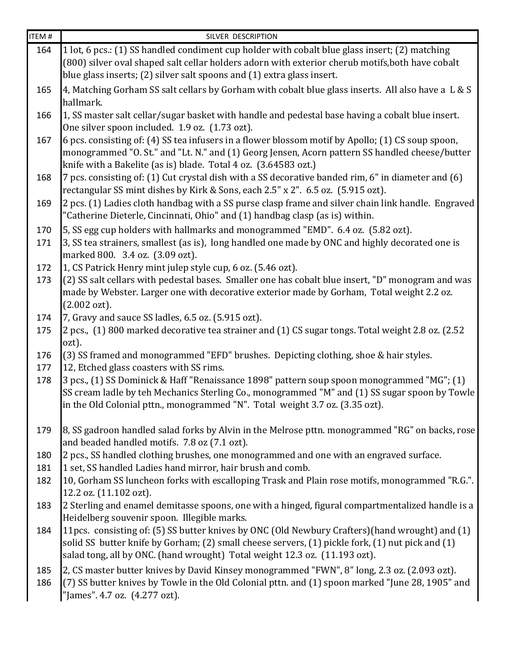| <b>ITEM#</b> | SILVER DESCRIPTION                                                                                                                                               |
|--------------|------------------------------------------------------------------------------------------------------------------------------------------------------------------|
| 164          | 1 lot, 6 pcs.: (1) SS handled condiment cup holder with cobalt blue glass insert; (2) matching                                                                   |
|              | (800) silver oval shaped salt cellar holders adorn with exterior cherub motifs, both have cobalt                                                                 |
|              | blue glass inserts; (2) silver salt spoons and (1) extra glass insert.                                                                                           |
| 165          | 4, Matching Gorham SS salt cellars by Gorham with cobalt blue glass inserts. All also have a L & S                                                               |
|              | hallmark.                                                                                                                                                        |
| 166          | 1, SS master salt cellar/sugar basket with handle and pedestal base having a cobalt blue insert.                                                                 |
|              | One silver spoon included. 1.9 oz. (1.73 ozt).                                                                                                                   |
| 167          | 6 pcs. consisting of: (4) SS tea infusers in a flower blossom motif by Apollo; (1) CS soup spoon,                                                                |
|              | monogrammed "O. St." and "Lt. N." and (1) Georg Jensen, Acorn pattern SS handled cheese/butter                                                                   |
|              | knife with a Bakelite (as is) blade. Total 4 oz. (3.64583 ozt.)                                                                                                  |
| 168          | 7 pcs. consisting of: (1) Cut crystal dish with a SS decorative banded rim, 6" in diameter and (6)                                                               |
|              | rectangular SS mint dishes by Kirk & Sons, each 2.5" x 2". 6.5 oz. (5.915 ozt).                                                                                  |
| 169          | 2 pcs. (1) Ladies cloth handbag with a SS purse clasp frame and silver chain link handle. Engraved                                                               |
|              | "Catherine Dieterle, Cincinnati, Ohio" and (1) handbag clasp (as is) within.                                                                                     |
| 170          | 5, SS egg cup holders with hallmarks and monogrammed "EMD". 6.4 oz. (5.82 ozt).                                                                                  |
| 171          | 3, SS tea strainers, smallest (as is), long handled one made by ONC and highly decorated one is                                                                  |
| 172          | marked 800. 3.4 oz. (3.09 ozt).                                                                                                                                  |
| 173          | 1, CS Patrick Henry mint julep style cup, 6 oz. (5.46 ozt).<br>(2) SS salt cellars with pedestal bases. Smaller one has cobalt blue insert, "D" monogram and was |
|              | made by Webster. Larger one with decorative exterior made by Gorham, Total weight 2.2 oz.                                                                        |
|              | $(2.002 \text{ ozt}).$                                                                                                                                           |
| 174          | 7, Gravy and sauce SS ladles, 6.5 oz. (5.915 ozt).                                                                                                               |
| 175          | 2 pcs., (1) 800 marked decorative tea strainer and (1) CS sugar tongs. Total weight 2.8 oz. (2.52                                                                |
|              | ozt).                                                                                                                                                            |
| 176          | (3) SS framed and monogrammed "EFD" brushes. Depicting clothing, shoe & hair styles.                                                                             |
| 177          | 12, Etched glass coasters with SS rims.                                                                                                                          |
| 178          | 3 pcs., (1) SS Dominick & Haff "Renaissance 1898" pattern soup spoon monogrammed "MG"; (1)                                                                       |
|              | SS cream ladle by teh Mechanics Sterling Co., monogrammed "M" and (1) SS sugar spoon by Towle                                                                    |
|              | in the Old Colonial pttn., monogrammed "N". Total weight 3.7 oz. (3.35 ozt).                                                                                     |
|              |                                                                                                                                                                  |
| 179          | 8, SS gadroon handled salad forks by Alvin in the Melrose pttn. monogrammed "RG" on backs, rose<br>and beaded handled motifs. 7.8 oz (7.1 ozt).                  |
| 180          | 2 pcs., SS handled clothing brushes, one monogrammed and one with an engraved surface.                                                                           |
| 181          | 1 set, SS handled Ladies hand mirror, hair brush and comb.                                                                                                       |
| 182          | 10, Gorham SS luncheon forks with escalloping Trask and Plain rose motifs, monogrammed "R.G.".                                                                   |
|              | 12.2 oz. (11.102 ozt).                                                                                                                                           |
| 183          | 2 Sterling and enamel demitasse spoons, one with a hinged, figural compartmentalized handle is a                                                                 |
|              | Heidelberg souvenir spoon. Illegible marks.                                                                                                                      |
| 184          | 11 pcs. consisting of: (5) SS butter knives by ONC (Old Newbury Crafters) (hand wrought) and (1)                                                                 |
|              | solid SS butter knife by Gorham; (2) small cheese servers, (1) pickle fork, (1) nut pick and (1)                                                                 |
|              | salad tong, all by ONC. (hand wrought) Total weight 12.3 oz. (11.193 ozt).                                                                                       |
| 185          | 2, CS master butter knives by David Kinsey monogrammed "FWN", 8" long, 2.3 oz. (2.093 ozt).                                                                      |
| 186          | (7) SS butter knives by Towle in the Old Colonial pttn. and (1) spoon marked "June 28, 1905" and                                                                 |
|              | "James". 4.7 oz. (4.277 ozt).                                                                                                                                    |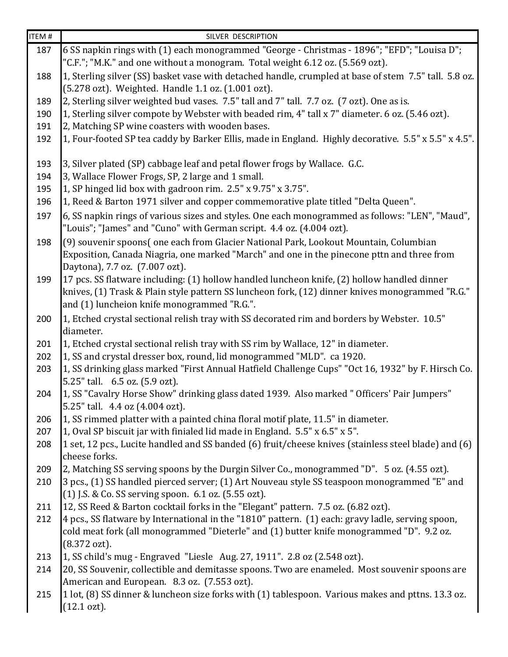| ITEM # | SILVER DESCRIPTION                                                                                                                                                                                                                            |
|--------|-----------------------------------------------------------------------------------------------------------------------------------------------------------------------------------------------------------------------------------------------|
| 187    | 6 SS napkin rings with (1) each monogrammed "George - Christmas - 1896"; "EFD"; "Louisa D";                                                                                                                                                   |
|        | "C.F."; "M.K." and one without a monogram. Total weight 6.12 oz. (5.569 ozt).                                                                                                                                                                 |
| 188    | 1, Sterling silver (SS) basket vase with detached handle, crumpled at base of stem 7.5" tall. 5.8 oz.                                                                                                                                         |
|        | (5.278 ozt). Weighted. Handle 1.1 oz. (1.001 ozt).                                                                                                                                                                                            |
| 189    | 2, Sterling silver weighted bud vases. 7.5" tall and 7" tall. 7.7 oz. (7 ozt). One as is.                                                                                                                                                     |
| 190    | 1, Sterling silver compote by Webster with beaded rim, 4" tall x 7" diameter. 6 oz. (5.46 ozt).                                                                                                                                               |
| 191    | 2, Matching SP wine coasters with wooden bases.                                                                                                                                                                                               |
| 192    | 1, Four-footed SP tea caddy by Barker Ellis, made in England. Highly decorative. 5.5" x 5.5" x 4.5".                                                                                                                                          |
| 193    | 3, Silver plated (SP) cabbage leaf and petal flower frogs by Wallace. G.C.                                                                                                                                                                    |
| 194    | 3, Wallace Flower Frogs, SP, 2 large and 1 small.                                                                                                                                                                                             |
| 195    | 1, SP hinged lid box with gadroon rim. 2.5" x 9.75" x 3.75".                                                                                                                                                                                  |
| 196    | 1, Reed & Barton 1971 silver and copper commemorative plate titled "Delta Queen".                                                                                                                                                             |
| 197    | 6, SS napkin rings of various sizes and styles. One each monogrammed as follows: "LEN", "Maud",<br>"Louis"; "James" and "Cuno" with German script. 4.4 oz. (4.004 ozt).                                                                       |
| 198    | (9) souvenir spoons(one each from Glacier National Park, Lookout Mountain, Columbian<br>Exposition, Canada Niagria, one marked "March" and one in the pinecone pttn and three from<br>Daytona), 7.7 oz. (7.007 ozt).                          |
| 199    | 17 pcs. SS flatware including: (1) hollow handled luncheon knife, (2) hollow handled dinner<br>knives, (1) Trask & Plain style pattern SS luncheon fork, (12) dinner knives monogrammed "R.G."<br>and (1) luncheion knife monogrammed "R.G.". |
| 200    | 1, Etched crystal sectional relish tray with SS decorated rim and borders by Webster. 10.5"<br>diameter.                                                                                                                                      |
| 201    | 1, Etched crystal sectional relish tray with SS rim by Wallace, 12" in diameter.                                                                                                                                                              |
| 202    | 1, SS and crystal dresser box, round, lid monogrammed "MLD". ca 1920.                                                                                                                                                                         |
| 203    | 1, SS drinking glass marked "First Annual Hatfield Challenge Cups" "Oct 16, 1932" by F. Hirsch Co.<br>5.25" tall. 6.5 oz. (5.9 ozt).                                                                                                          |
| 204    | 1, SS "Cavalry Horse Show" drinking glass dated 1939. Also marked " Officers' Pair Jumpers"<br>5.25" tall. 4.4 oz (4.004 ozt).                                                                                                                |
| 206    | 1, SS rimmed platter with a painted china floral motif plate, 11.5" in diameter.                                                                                                                                                              |
| 207    | 1, Oval SP biscuit jar with finialed lid made in England. 5.5" x 6.5" x 5".                                                                                                                                                                   |
| 208    | $ 1$ set, 12 pcs., Lucite handled and SS banded (6) fruit/cheese knives (stainless steel blade) and (6)<br>cheese forks.                                                                                                                      |
| 209    | 2, Matching SS serving spoons by the Durgin Silver Co., monogrammed "D". 5 oz. (4.55 ozt).                                                                                                                                                    |
| 210    | 3 pcs., (1) SS handled pierced server; (1) Art Nouveau style SS teaspoon monogrammed "E" and<br>(1) J.S. & Co. SS serving spoon. 6.1 oz. (5.55 ozt).                                                                                          |
| 211    | 12, SS Reed & Barton cocktail forks in the "Elegant" pattern. 7.5 oz. (6.82 ozt).                                                                                                                                                             |
| 212    | 4 pcs., SS flatware by International in the "1810" pattern. (1) each: gravy ladle, serving spoon,                                                                                                                                             |
|        | cold meat fork (all monogrammed "Dieterle" and (1) butter knife monogrammed "D". 9.2 oz.<br>$(8.372 \text{ ozt}).$                                                                                                                            |
| 213    | 1, SS child's mug - Engraved "Liesle Aug. 27, 1911". 2.8 oz (2.548 ozt).                                                                                                                                                                      |
| 214    | 20, SS Souvenir, collectible and demitasse spoons. Two are enameled. Most souvenir spoons are                                                                                                                                                 |
|        | American and European. 8.3 oz. (7.553 ozt).                                                                                                                                                                                                   |
| 215    | 1 lot, (8) SS dinner & luncheon size forks with (1) tablespoon. Various makes and pttns. 13.3 oz.<br>$(12.1 \text{ ozt}).$                                                                                                                    |
|        |                                                                                                                                                                                                                                               |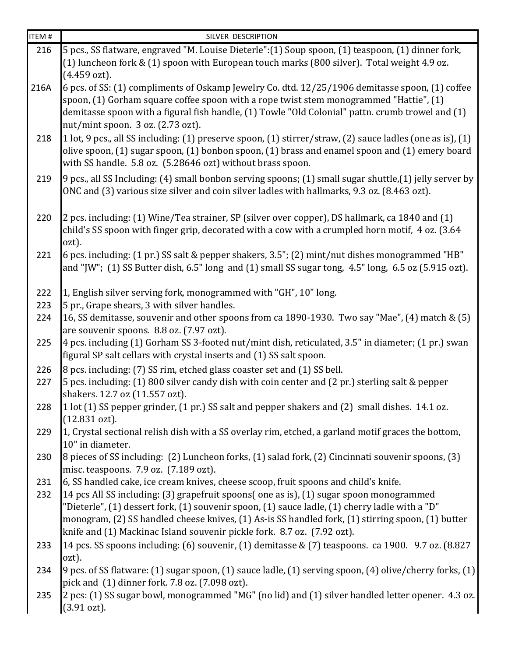| <b>ITEM#</b> | SILVER DESCRIPTION                                                                                                                             |
|--------------|------------------------------------------------------------------------------------------------------------------------------------------------|
| 216          | 5 pcs., SS flatware, engraved "M. Louise Dieterle":(1) Soup spoon, (1) teaspoon, (1) dinner fork,                                              |
|              | (1) luncheon fork & (1) spoon with European touch marks (800 silver). Total weight 4.9 oz.                                                     |
|              | (4.459 ozt).                                                                                                                                   |
| 216A         | 6 pcs. of SS: (1) compliments of Oskamp Jewelry Co. dtd. 12/25/1906 demitasse spoon, (1) coffee                                                |
|              | spoon, (1) Gorham square coffee spoon with a rope twist stem monogrammed "Hattie", (1)                                                         |
|              | demitasse spoon with a figural fish handle, (1) Towle "Old Colonial" pattn. crumb trowel and (1)                                               |
|              | nut/mint spoon. 3 oz. (2.73 ozt).                                                                                                              |
| 218          | 1 lot, 9 pcs., all SS including: (1) preserve spoon, (1) stirrer/straw, (2) sauce ladles (one as is), (1)                                      |
|              | olive spoon, (1) sugar spoon, (1) bonbon spoon, (1) brass and enamel spoon and (1) emery board                                                 |
|              | with SS handle. 5.8 oz. (5.28646 ozt) without brass spoon.                                                                                     |
| 219          | 9 pcs., all SS Including: (4) small bonbon serving spoons; (1) small sugar shuttle, (1) jelly server by                                        |
|              | ONC and (3) various size silver and coin silver ladles with hallmarks, 9.3 oz. (8.463 ozt).                                                    |
|              |                                                                                                                                                |
| 220          | 2 pcs. including: (1) Wine/Tea strainer, SP (silver over copper), DS hallmark, ca 1840 and (1)                                                 |
|              | child's SS spoon with finger grip, decorated with a cow with a crumpled horn motif, 4 oz. (3.64                                                |
|              | ozt).                                                                                                                                          |
| 221          | 6 pcs. including: (1 pr.) SS salt & pepper shakers, 3.5"; (2) mint/nut dishes monogrammed "HB"                                                 |
|              | and "JW"; $(1)$ SS Butter dish, 6.5" long and $(1)$ small SS sugar tong, 4.5" long, 6.5 oz $(5.915 \text{ ozt})$ .                             |
|              |                                                                                                                                                |
| 222          | 1, English silver serving fork, monogrammed with "GH", 10" long.                                                                               |
| 223          | 5 pr., Grape shears, 3 with silver handles.                                                                                                    |
| 224          | 16, SS demitasse, souvenir and other spoons from ca 1890-1930. Two say "Mae", (4) match & (5)                                                  |
| 225          | are souvenir spoons. 8.8 oz. (7.97 ozt).<br>4 pcs. including (1) Gorham SS 3-footed nut/mint dish, reticulated, 3.5" in diameter; (1 pr.) swan |
|              | figural SP salt cellars with crystal inserts and (1) SS salt spoon.                                                                            |
|              | 8 pcs. including: (7) SS rim, etched glass coaster set and (1) SS bell.                                                                        |
| 226<br>227   | 5 pcs. including: (1) 800 silver candy dish with coin center and (2 pr.) sterling salt & pepper                                                |
|              | shakers. 12.7 oz (11.557 ozt).                                                                                                                 |
| 228          | 1 lot (1) SS pepper grinder, (1 pr.) SS salt and pepper shakers and (2) small dishes. 14.1 oz.                                                 |
|              | $(12.831 \text{ ozt}).$                                                                                                                        |
| 229          | 1, Crystal sectional relish dish with a SS overlay rim, etched, a garland motif graces the bottom,                                             |
|              | 10" in diameter.                                                                                                                               |
| 230          | 8 pieces of SS including: (2) Luncheon forks, (1) salad fork, (2) Cincinnati souvenir spoons, (3)                                              |
|              | misc. teaspoons. 7.9 oz. (7.189 ozt).                                                                                                          |
| 231          | 6, SS handled cake, ice cream knives, cheese scoop, fruit spoons and child's knife.                                                            |
| 232          | 14 pcs All SS including: (3) grapefruit spoons( one as is), (1) sugar spoon monogrammed                                                        |
|              | "Dieterle", (1) dessert fork, (1) souvenir spoon, (1) sauce ladle, (1) cherry ladle with a "D"                                                 |
|              | monogram, (2) SS handled cheese knives, (1) As-is SS handled fork, (1) stirring spoon, (1) butter                                              |
|              | knife and (1) Mackinac Island souvenir pickle fork. 8.7 oz. (7.92 ozt).                                                                        |
| 233          | 14 pcs. SS spoons including: (6) souvenir, (1) demitasse & (7) teaspoons. ca 1900. 9.7 oz. (8.827                                              |
|              | ozt).                                                                                                                                          |
| 234          | 9 pcs. of SS flatware: (1) sugar spoon, (1) sauce ladle, (1) serving spoon, (4) olive/cherry forks, (1)                                        |
|              | pick and (1) dinner fork. 7.8 oz. (7.098 ozt).                                                                                                 |
| 235          | 2 pcs: (1) SS sugar bowl, monogrammed "MG" (no lid) and (1) silver handled letter opener. 4.3 oz.                                              |
|              | $(3.91 \text{ ozt}).$                                                                                                                          |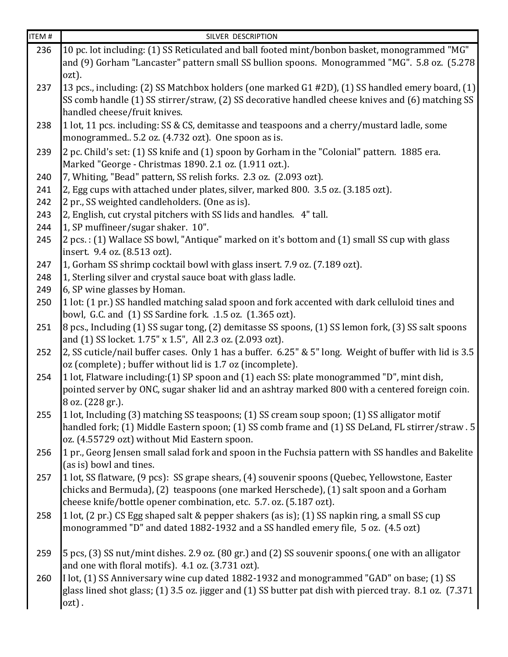| <b>ITEM#</b> | SILVER DESCRIPTION                                                                                                                                                              |
|--------------|---------------------------------------------------------------------------------------------------------------------------------------------------------------------------------|
| 236          | 10 pc. lot including: (1) SS Reticulated and ball footed mint/bonbon basket, monogrammed "MG"                                                                                   |
|              | and (9) Gorham "Lancaster" pattern small SS bullion spoons. Monogrammed "MG". 5.8 oz. (5.278                                                                                    |
|              | ozt).                                                                                                                                                                           |
| 237          | [13 pcs., including: (2) SS Matchbox holders (one marked G1 #2D), (1) SS handled emery board, (1)                                                                               |
|              | SS comb handle (1) SS stirrer/straw, (2) SS decorative handled cheese knives and (6) matching SS                                                                                |
|              | handled cheese/fruit knives.                                                                                                                                                    |
| 238          | 1 lot, 11 pcs. including: SS & CS, demitasse and teaspoons and a cherry/mustard ladle, some                                                                                     |
|              | monogrammed 5.2 oz. (4.732 ozt). One spoon as is.                                                                                                                               |
| 239          | 2 pc. Child's set: (1) SS knife and (1) spoon by Gorham in the "Colonial" pattern. 1885 era.                                                                                    |
|              | Marked "George - Christmas 1890. 2.1 oz. (1.911 ozt.).                                                                                                                          |
| 240          | 7, Whiting, "Bead" pattern, SS relish forks. 2.3 oz. (2.093 ozt).                                                                                                               |
| 241          | 2, Egg cups with attached under plates, silver, marked 800. 3.5 oz. (3.185 ozt).                                                                                                |
| 242          | 2 pr., SS weighted candleholders. (One as is).                                                                                                                                  |
| 243          | 2, English, cut crystal pitchers with SS lids and handles. 4" tall.                                                                                                             |
| 244          | 1, SP muffineer/sugar shaker. 10".                                                                                                                                              |
| 245          | 2 pcs.: (1) Wallace SS bowl, "Antique" marked on it's bottom and (1) small SS cup with glass                                                                                    |
|              | insert. 9.4 oz. (8.513 ozt).                                                                                                                                                    |
| 247          | 1, Gorham SS shrimp cocktail bowl with glass insert. 7.9 oz. (7.189 ozt).                                                                                                       |
| 248          | 1, Sterling silver and crystal sauce boat with glass ladle.                                                                                                                     |
| 249          | 6, SP wine glasses by Homan.                                                                                                                                                    |
| 250          | 1 lot: (1 pr.) SS handled matching salad spoon and fork accented with dark celluloid tines and                                                                                  |
| 251          | bowl, G.C. and (1) SS Sardine fork. .1.5 oz. (1.365 ozt).<br>$\left 8\right $ pcs., Including (1) SS sugar tong, (2) demitasse SS spoons, (1) SS lemon fork, (3) SS salt spoons |
|              | and (1) SS locket. 1.75" x 1.5", All 2.3 oz. (2.093 ozt).                                                                                                                       |
| 252          | 2, SS cuticle/nail buffer cases. Only 1 has a buffer. 6.25" & 5" long. Weight of buffer with lid is 3.5                                                                         |
|              | oz (complete); buffer without lid is 1.7 oz (incomplete).                                                                                                                       |
| 254          | 1 lot, Flatware including: (1) SP spoon and (1) each SS: plate monogrammed "D", mint dish,                                                                                      |
|              | pointed server by ONC, sugar shaker lid and an ashtray marked 800 with a centered foreign coin.                                                                                 |
|              | 8 oz. (228 gr.).                                                                                                                                                                |
| 255          | 1 lot, Including (3) matching SS teaspoons; (1) SS cream soup spoon; (1) SS alligator motif                                                                                     |
|              | handled fork; (1) Middle Eastern spoon; (1) SS comb frame and (1) SS DeLand, FL stirrer/straw . 5                                                                               |
|              | oz. (4.55729 ozt) without Mid Eastern spoon.                                                                                                                                    |
| 256          | 1 pr., Georg Jensen small salad fork and spoon in the Fuchsia pattern with SS handles and Bakelite                                                                              |
|              | (as is) bowl and tines.                                                                                                                                                         |
| 257          | 1 lot, SS flatware, (9 pcs): SS grape shears, (4) souvenir spoons (Quebec, Yellowstone, Easter                                                                                  |
|              | chicks and Bermuda), (2) teaspoons (one marked Herschede), (1) salt spoon and a Gorham                                                                                          |
|              | cheese knife/bottle opener combination, etc. 5.7. oz. (5.187 ozt).                                                                                                              |
| 258          | 1 lot, (2 pr.) CS Egg shaped salt & pepper shakers (as is); (1) SS napkin ring, a small SS cup                                                                                  |
|              | monogrammed "D" and dated 1882-1932 and a SS handled emery file, 5 oz. (4.5 ozt)                                                                                                |
|              |                                                                                                                                                                                 |
| 259          | 5 pcs, (3) SS nut/mint dishes. 2.9 oz. (80 gr.) and (2) SS souvenir spoons.(one with an alligator                                                                               |
|              | and one with floral motifs). 4.1 oz. (3.731 ozt).                                                                                                                               |
| 260          | I lot, (1) SS Anniversary wine cup dated 1882-1932 and monogrammed "GAD" on base; (1) SS                                                                                        |
|              | glass lined shot glass; (1) 3.5 oz. jigger and (1) SS butter pat dish with pierced tray. 8.1 oz. (7.371                                                                         |
|              | $ozt)$ .                                                                                                                                                                        |